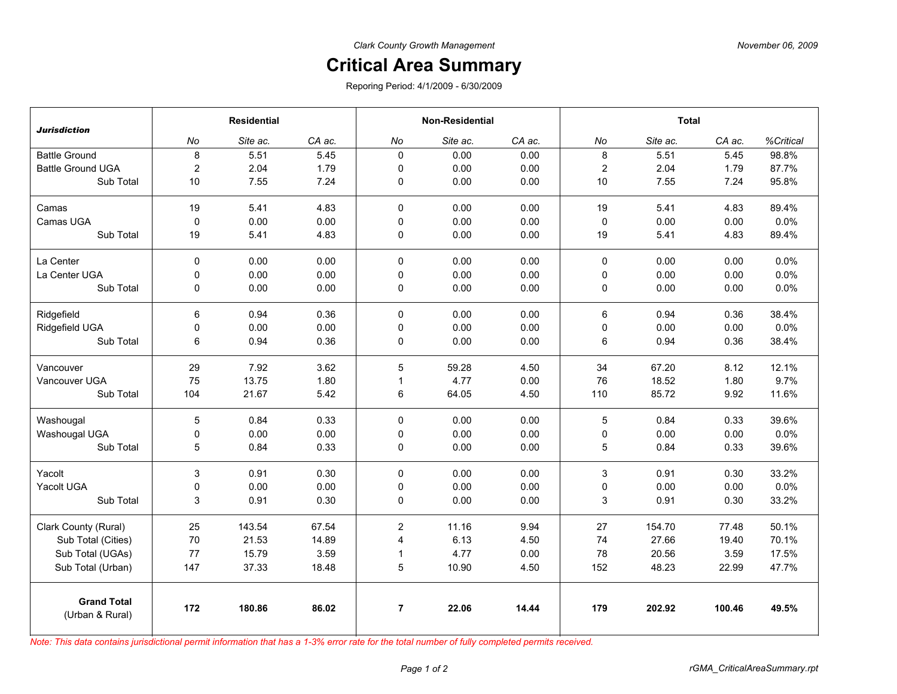## **Critical Area Summary**

Reporing Period: 4/1/2009 - 6/30/2009

| <b>Jurisdiction</b>                   | <b>Residential</b> |          |        | <b>Non-Residential</b> |          |        | <b>Total</b>              |          |        |           |
|---------------------------------------|--------------------|----------|--------|------------------------|----------|--------|---------------------------|----------|--------|-----------|
|                                       | No                 | Site ac. | CA ac. | No                     | Site ac. | CA ac. | No                        | Site ac. | CA ac. | %Critical |
| <b>Battle Ground</b>                  | 8                  | 5.51     | 5.45   | $\Omega$               | 0.00     | 0.00   | 8                         | 5.51     | 5.45   | 98.8%     |
| <b>Battle Ground UGA</b>              | 2                  | 2.04     | 1.79   | $\mathbf 0$            | 0.00     | 0.00   | $\overline{2}$            | 2.04     | 1.79   | 87.7%     |
| Sub Total                             | 10                 | 7.55     | 7.24   | 0                      | 0.00     | 0.00   | $10$                      | 7.55     | 7.24   | 95.8%     |
| Camas                                 | 19                 | 5.41     | 4.83   | $\mathbf 0$            | 0.00     | 0.00   | 19                        | 5.41     | 4.83   | 89.4%     |
| Camas UGA                             | $\mathbf 0$        | 0.00     | 0.00   | 0                      | 0.00     | 0.00   | 0                         | 0.00     | 0.00   | 0.0%      |
| Sub Total                             | 19                 | 5.41     | 4.83   | $\pmb{0}$              | 0.00     | 0.00   | 19                        | 5.41     | 4.83   | 89.4%     |
| La Center                             | $\Omega$           | 0.00     | 0.00   | $\mathbf 0$            | 0.00     | 0.00   | $\mathbf 0$               | 0.00     | 0.00   | 0.0%      |
| La Center UGA                         | 0                  | 0.00     | 0.00   | $\mathbf 0$            | 0.00     | 0.00   | 0                         | 0.00     | 0.00   | 0.0%      |
| Sub Total                             | 0                  | 0.00     | 0.00   | 0                      | 0.00     | 0.00   | 0                         | 0.00     | 0.00   | 0.0%      |
| Ridgefield                            | 6                  | 0.94     | 0.36   | $\mathbf 0$            | 0.00     | 0.00   | 6                         | 0.94     | 0.36   | 38.4%     |
| Ridgefield UGA                        | 0                  | 0.00     | 0.00   | $\mathbf 0$            | 0.00     | 0.00   | 0                         | 0.00     | 0.00   | 0.0%      |
| Sub Total                             | 6                  | 0.94     | 0.36   | $\mathbf 0$            | 0.00     | 0.00   | 6                         | 0.94     | 0.36   | 38.4%     |
| Vancouver                             | 29                 | 7.92     | 3.62   | 5                      | 59.28    | 4.50   | 34                        | 67.20    | 8.12   | 12.1%     |
| Vancouver UGA                         | 75                 | 13.75    | 1.80   | $\mathbf{1}$           | 4.77     | 0.00   | 76                        | 18.52    | 1.80   | 9.7%      |
| Sub Total                             | 104                | 21.67    | 5.42   | 6                      | 64.05    | 4.50   | 110                       | 85.72    | 9.92   | 11.6%     |
| Washougal                             | 5                  | 0.84     | 0.33   | $\mathbf 0$            | 0.00     | 0.00   | 5                         | 0.84     | 0.33   | 39.6%     |
| Washougal UGA                         | 0                  | 0.00     | 0.00   | $\mathbf 0$            | 0.00     | 0.00   | 0                         | 0.00     | 0.00   | 0.0%      |
| Sub Total                             | 5                  | 0.84     | 0.33   | 0                      | 0.00     | 0.00   | 5                         | 0.84     | 0.33   | 39.6%     |
| Yacolt                                | 3                  | 0.91     | 0.30   | $\mathbf 0$            | 0.00     | 0.00   | $\ensuremath{\mathsf{3}}$ | 0.91     | 0.30   | 33.2%     |
| Yacolt UGA                            | 0                  | 0.00     | 0.00   | $\mathbf 0$            | 0.00     | 0.00   | 0                         | 0.00     | 0.00   | 0.0%      |
| Sub Total                             | 3                  | 0.91     | 0.30   | 0                      | 0.00     | 0.00   | 3                         | 0.91     | 0.30   | 33.2%     |
| Clark County (Rural)                  | 25                 | 143.54   | 67.54  | $\overline{2}$         | 11.16    | 9.94   | 27                        | 154.70   | 77.48  | 50.1%     |
| Sub Total (Cities)                    | 70                 | 21.53    | 14.89  | $\overline{4}$         | 6.13     | 4.50   | 74                        | 27.66    | 19.40  | 70.1%     |
| Sub Total (UGAs)                      | 77                 | 15.79    | 3.59   | $\mathbf{1}$           | 4.77     | 0.00   | 78                        | 20.56    | 3.59   | 17.5%     |
| Sub Total (Urban)                     | 147                | 37.33    | 18.48  | 5                      | 10.90    | 4.50   | 152                       | 48.23    | 22.99  | 47.7%     |
| <b>Grand Total</b><br>(Urban & Rural) | 172                | 180.86   | 86.02  | $\overline{7}$         | 22.06    | 14.44  | 179                       | 202.92   | 100.46 | 49.5%     |

*Note: This data contains jurisdictional permit information that has a 1-3% error rate for the total number of fully completed permits received.*